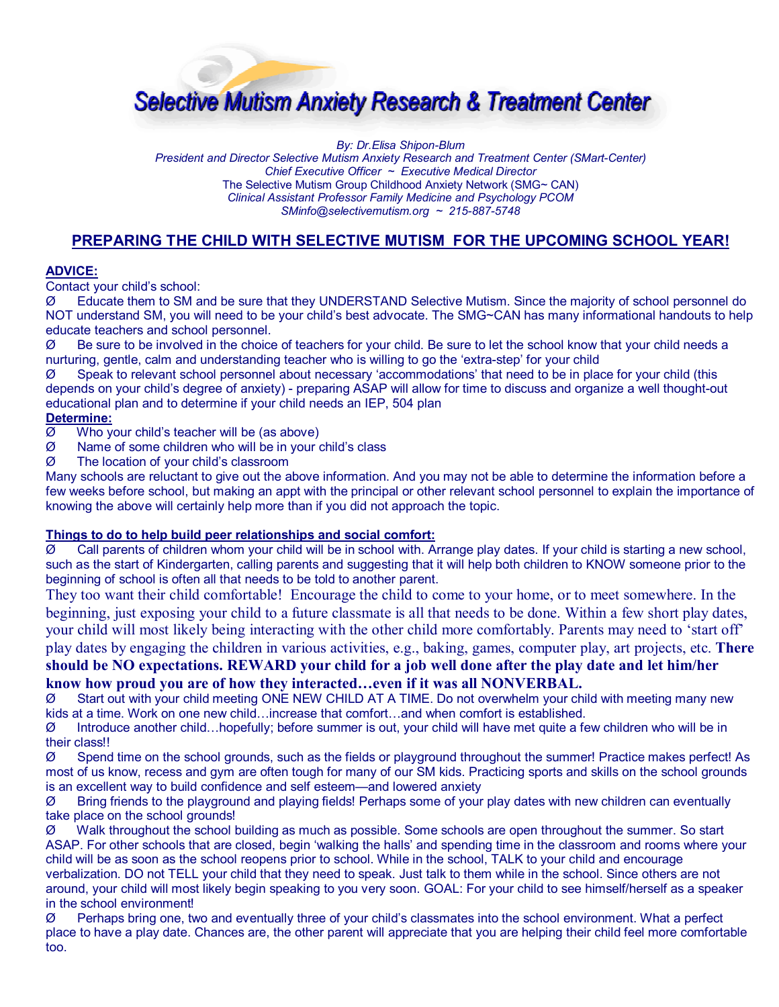

*By: Dr.Elisa Shipon-Blum President and Director Selective Mutism Anxiety Research and Treatment Center (SMart-Center) Chief Executive Officer ~ Executive Medical Director*  The Selective Mutism Group Childhood Anxiety Network (SMG~ CAN) *Clinical Assistant Professor Family Medicine and Psychology PCOM SMinfo@selectivemutism.org ~ 215-887-5748* 

# **PREPARING THE CHILD WITH SELECTIVE MUTISM FOR THE UPCOMING SCHOOL YEAR!**

#### **ADVICE:**

Contact your child's school:

Ø Educate them to SM and be sure that they UNDERSTAND Selective Mutism. Since the majority of school personnel do NOT understand SM, you will need to be your child's best advocate. The SMG~CAN has many informational handouts to help educate teachers and school personnel.

 $\varnothing$  Be sure to be involved in the choice of teachers for your child. Be sure to let the school know that your child needs a nurturing, gentle, calm and understanding teacher who is willing to go the 'extra-step' for your child

Ø Speak to relevant school personnel about necessary 'accommodations' that need to be in place for your child (this depends on your child's degree of anxiety) - preparing ASAP will allow for time to discuss and organize a well thought-out educational plan and to determine if your child needs an IEP, 504 plan

## **Determine:**

Ø Who your child's teacher will be (as above)

- Ø Name of some children who will be in your child's class
- Ø The location of your child's classroom

Many schools are reluctant to give out the above information. And you may not be able to determine the information before a few weeks before school, but making an appt with the principal or other relevant school personnel to explain the importance of knowing the above will certainly help more than if you did not approach the topic.

## **Things to do to help build peer relationships and social comfort:**

 $\varnothing$  Call parents of children whom your child will be in school with. Arrange play dates. If your child is starting a new school, such as the start of Kindergarten, calling parents and suggesting that it will help both children to KNOW someone prior to the beginning of school is often all that needs to be told to another parent.

They too want their child comfortable! Encourage the child to come to your home, or to meet somewhere. In the beginning, just exposing your child to a future classmate is all that needs to be done. Within a few short play dates, your child will most likely being interacting with the other child more comfortably. Parents may need to 'start off' play dates by engaging the children in various activities, e.g., baking, games, computer play, art projects, etc. **There** 

**should be NO expectations. REWARD your child for a job well done after the play date and let him/her know how proud you are of how they interacted…even if it was all NONVERBAL.** 

Ø Start out with your child meeting ONE NEW CHILD AT A TIME. Do not overwhelm your child with meeting many new kids at a time. Work on one new child…increase that comfort…and when comfort is established.

Ø Introduce another child…hopefully; before summer is out, your child will have met quite a few children who will be in their class!!

Ø Spend time on the school grounds, such as the fields or playground throughout the summer! Practice makes perfect! As most of us know, recess and gym are often tough for many of our SM kids. Practicing sports and skills on the school grounds is an excellent way to build confidence and self esteem—and lowered anxiety

 $\varnothing$  Bring friends to the playground and playing fields! Perhaps some of your play dates with new children can eventually take place on the school grounds!

Ø Walk throughout the school building as much as possible. Some schools are open throughout the summer. So start ASAP. For other schools that are closed, begin 'walking the halls' and spending time in the classroom and rooms where your child will be as soon as the school reopens prior to school. While in the school, TALK to your child and encourage verbalization. DO not TELL your child that they need to speak. Just talk to them while in the school. Since others are not around, your child will most likely begin speaking to you very soon. GOAL: For your child to see himself/herself as a speaker in the school environment!

 $\varnothing$  Perhaps bring one, two and eventually three of your child's classmates into the school environment. What a perfect place to have a play date. Chances are, the other parent will appreciate that you are helping their child feel more comfortable too.